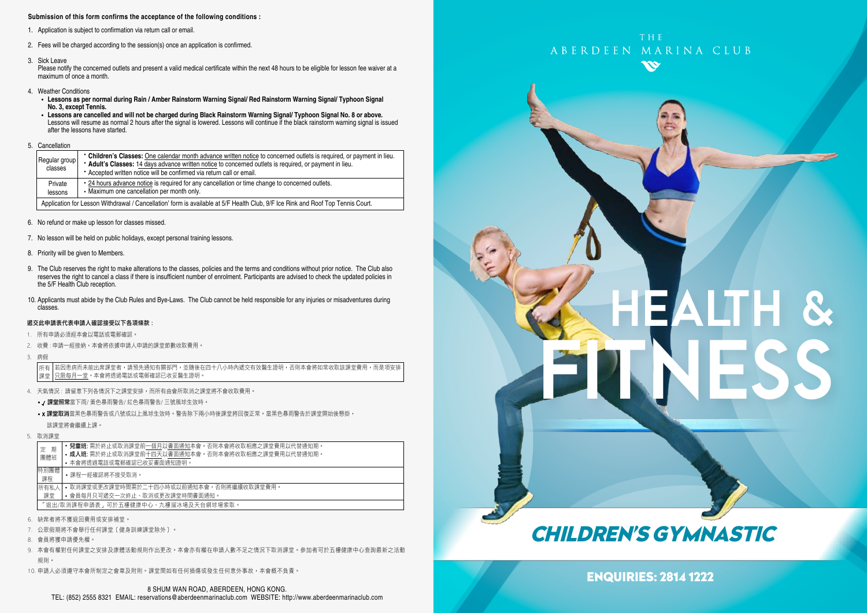#### **Submission of this form confirms the acceptance of the following conditions :**

- 1. Application is subject to confirmation via return call or email.
- 2. Fees will be charged according to the session(s) once an application is confirmed.
- 3. Sick Leave

Please notify the concerned outlets and present a valid medical certificate within the next 48 hours to be eligible for lesson fee waiver at a maximum of once a month.

- 4. Weather Conditions
	- **Lessons as per normal during Rain / Amber Rainstorm Warning Signal/ Red Rainstorm Warning Signal/ Typhoon Signal No. 3, except Tennis.**
- Lessons are cancelled and will not be charged during Black Rainstorm Warning Signal/ Typhoon Signal No. 8 or above.<br>Lessons will resume as normal 2 hours after the signal is lowered. Lessons will continue if the black ra after the lessons have started.
- 5. Cancellation

| Regular group<br>classes                                                                                                                                            | • Children's Classes: One calendar month advance written notice to concerned outlets is required, or payment in lieu.<br>* Adult's Classes: 14 days advance written notice to concerned outlets is required, or payment in lieu.<br>• Accepted written notice will be confirmed via return call or email. |  |  |
|---------------------------------------------------------------------------------------------------------------------------------------------------------------------|-----------------------------------------------------------------------------------------------------------------------------------------------------------------------------------------------------------------------------------------------------------------------------------------------------------|--|--|
| • 24 hours advance notice is required for any cancellation or time change to concerned outlets.<br>Private<br>• Maximum one cancellation per month only.<br>lessons |                                                                                                                                                                                                                                                                                                           |  |  |
| Application for Lesson Withdrawal / Cancellation' form is available at 5/F Health Club, 9/F Ice Rink and Roof Top Tennis Court.                                     |                                                                                                                                                                                                                                                                                                           |  |  |

- 6. No refund or make up lesson for classes missed.
- 7. No lesson will be held on public holidays, except personal training lessons.
- 8. Priority will be given to Members.
- 9. The Club reserves the right to make alterations to the classes, policies and the terms and conditions without prior notice. The Club also reserves the right to cancel a class if there is insufficient number of enrolment. Participants are advised to check the updated policies in the 5/F Health Club reception.
- 10. Applicants must abide by the Club Rules and Bye-Laws. The Club cannot be held responsible for any injuries or misadventures during classes.

#### 遞交此申請表代表申請人確認接受以下各項條款 :

- 1. 所有申請必須經本會以電話或電郵確認。
- 2. 收費: 申請一經接納, 本會將依據申請人申請的課堂節數收取費用,
- 3. 病假

若因患病而未能出席課堂者,請預先通知有關部門,並隨後在四十八小時內遞交有效醫生證明,否則本會將如常收取該課堂費用,而是項安排 只限每月一堂。本會將透過電話或電郵確認已收妥醫生證明。 所有 課堂

- 4. 天氣情況 : 請留意下列各情況下之課堂安排,而所有由會所取消之課堂將不會收取費用。
	- / 課堂照常當下雨/ 黃色暴雨警告/ 紅色暴雨警告/ 三號風球生效時。
	- x 課堂取消當黑色暴雨警告或八號或以上風球生效時。警告除下兩小時後課堂將回復正常。當黑色暴雨警告於課堂開始後懸掛, 該課堂將會繼續上課。
- 5. 取消課堂

| 期<br>定                              | <b>兒童班:</b> 需於終止或取消課堂前一個月以書面通知本會。否則本會將收取相應之課堂費用以代替通知期。 |  |  |  |
|-------------------------------------|--------------------------------------------------------|--|--|--|
| 團體班                                 | • 成人班: 需於終止或取消課堂前十四天以書面通知本會。否則本會將收取相應之課堂費用以代替通知期。      |  |  |  |
|                                     | • 本會將诱過電話或電郵確認已收妥書面通知證明。                               |  |  |  |
| 特別團體<br>課程                          | •課程一經確認將不接受取消。                                         |  |  |  |
| 所有私人                                | • 取消課堂或更改課堂時間需於二十四小時或以前通知本會,否則將繼續收取課堂費用。               |  |  |  |
| 課堂                                  | • 會員每月只可遞交一次終止、取消或更改課堂時間書面通知。                          |  |  |  |
| 「狠出/取消課程申請表,可於五樓健康中心、九樓溜冰場及天台網球場索取。 |                                                        |  |  |  |
|                                     |                                                        |  |  |  |

- 6. 缺席者將不獲退回費用或安排補堂。
- 7. 公眾假期將不會舉行任何課堂﹝健身訓練課堂除外﹞。
- 8. 會員將獲申請優先權。
- 9. 本會有權對任何課堂之安排及康體活動規則作出更改。本會亦有權在申請人數不足之情況下取消課堂。參加者可於五樓健康中心查詢最新之活動 規則。
- 10. 申請人必須遵守本會所制定之會章及附則。課堂間如有任何損傷或發生任何意外事故,本會概不負責。



# HEALTH & FITNESS

# CHILDREN'S GYMNASTIC

ENQUIRIES: 2814 1222